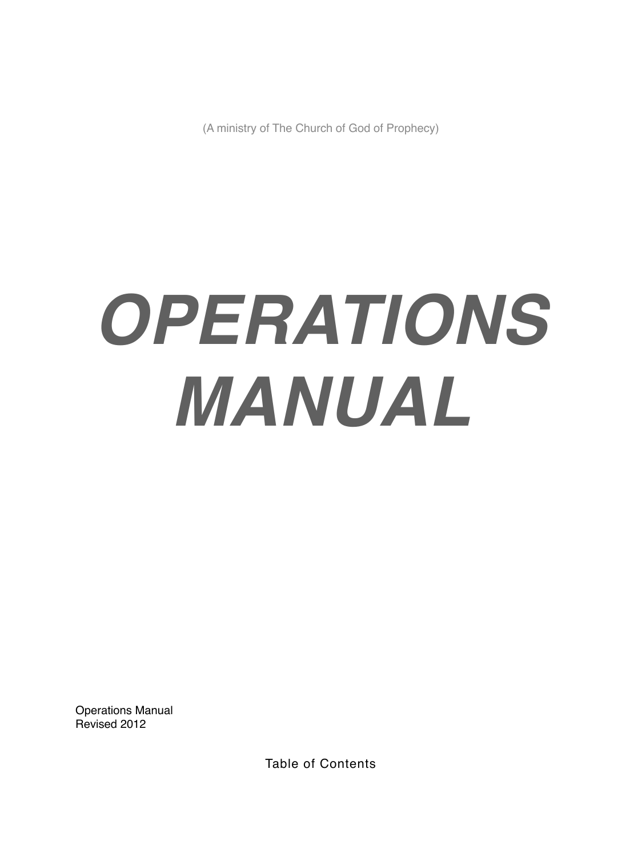(A ministry of The Church of God of Prophecy)

# *OPERATIONS MANUAL*

Operations Manual Revised 2012

Table of Contents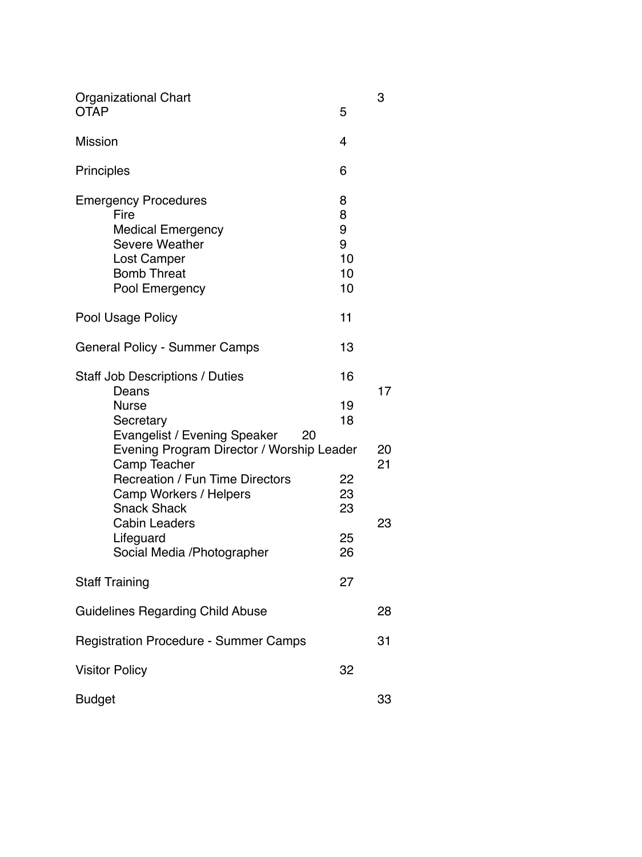| <b>Organizational Chart</b><br><b>OTAP</b>   | 5  | 3  |
|----------------------------------------------|----|----|
|                                              |    |    |
| <b>Mission</b>                               | 4  |    |
| <b>Principles</b>                            | 6  |    |
| <b>Emergency Procedures</b>                  | 8  |    |
| Fire                                         | 8  |    |
| <b>Medical Emergency</b>                     | 9  |    |
| <b>Severe Weather</b>                        | 9  |    |
| Lost Camper                                  | 10 |    |
| <b>Bomb Threat</b>                           | 10 |    |
| Pool Emergency                               | 10 |    |
|                                              |    |    |
| Pool Usage Policy                            | 11 |    |
| <b>General Policy - Summer Camps</b>         | 13 |    |
| <b>Staff Job Descriptions / Duties</b>       | 16 |    |
| Deans                                        |    | 17 |
| <b>Nurse</b>                                 | 19 |    |
| Secretary                                    | 18 |    |
| Evangelist / Evening Speaker<br>20           |    |    |
| Evening Program Director / Worship Leader    |    | 20 |
| Camp Teacher                                 |    | 21 |
| <b>Recreation / Fun Time Directors</b>       | 22 |    |
| Camp Workers / Helpers                       | 23 |    |
| <b>Snack Shack</b>                           | 23 |    |
| <b>Cabin Leaders</b>                         |    | 23 |
| Lifeguard                                    | 25 |    |
| Social Media / Photographer                  | 26 |    |
|                                              |    |    |
| <b>Staff Training</b>                        | 27 |    |
| <b>Guidelines Regarding Child Abuse</b>      |    | 28 |
|                                              |    |    |
| <b>Registration Procedure - Summer Camps</b> |    | 31 |
| <b>Visitor Policy</b>                        | 32 |    |
| <b>Budget</b>                                |    | 33 |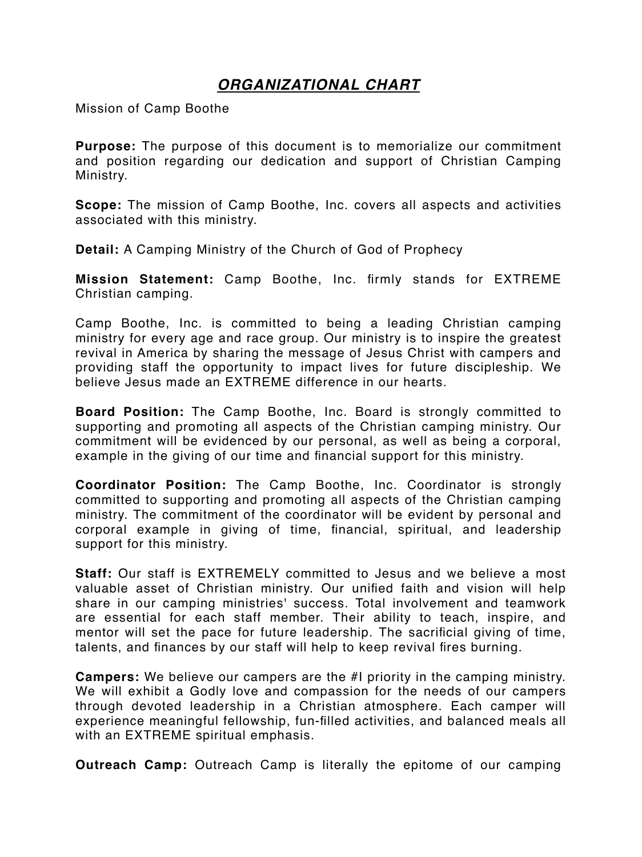## *ORGANIZATIONAL CHART*

Mission of Camp Boothe

**Purpose:** The purpose of this document is to memorialize our commitment and position regarding our dedication and support of Christian Camping Ministry.

**Scope:** The mission of Camp Boothe, Inc. covers all aspects and activities associated with this ministry.

**Detail:** A Camping Ministry of the Church of God of Prophecy

**Mission Statement:** Camp Boothe, Inc. firmly stands for EXTREME Christian camping.

Camp Boothe, Inc. is committed to being a leading Christian camping ministry for every age and race group. Our ministry is to inspire the greatest revival in America by sharing the message of Jesus Christ with campers and providing staff the opportunity to impact lives for future discipleship. We believe Jesus made an EXTREME difference in our hearts.

**Board Position:** The Camp Boothe, Inc. Board is strongly committed to supporting and promoting all aspects of the Christian camping ministry. Our commitment will be evidenced by our personal, as well as being a corporal, example in the giving of our time and financial support for this ministry.

**Coordinator Position:** The Camp Boothe, Inc. Coordinator is strongly committed to supporting and promoting all aspects of the Christian camping ministry. The commitment of the coordinator will be evident by personal and corporal example in giving of time, financial, spiritual, and leadership support for this ministry.

**Staff:** Our staff is EXTREMELY committed to Jesus and we believe a most valuable asset of Christian ministry. Our unified faith and vision will help share in our camping ministries' success. Total involvement and teamwork are essential for each staff member. Their ability to teach, inspire, and mentor will set the pace for future leadership. The sacrificial giving of time, talents, and finances by our staff will help to keep revival fires burning.

**Campers:** We believe our campers are the #I priority in the camping ministry. We will exhibit a Godly love and compassion for the needs of our campers through devoted leadership in a Christian atmosphere. Each camper will experience meaningful fellowship, fun-filled activities, and balanced meals all with an EXTREME spiritual emphasis.

**Outreach Camp:** Outreach Camp is literally the epitome of our camping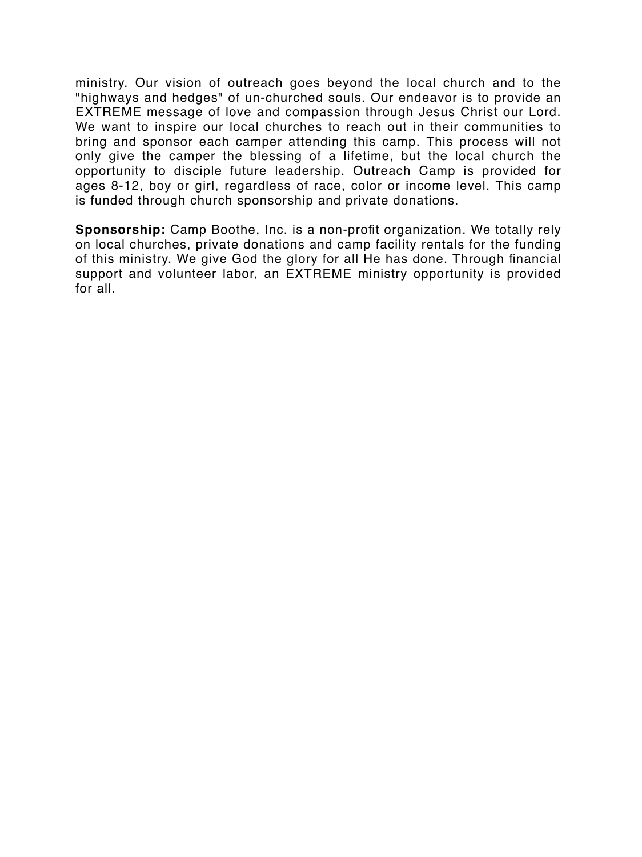ministry. Our vision of outreach goes beyond the local church and to the "highways and hedges" of un-churched souls. Our endeavor is to provide an EXTREME message of love and compassion through Jesus Christ our Lord. We want to inspire our local churches to reach out in their communities to bring and sponsor each camper attending this camp. This process will not only give the camper the blessing of a lifetime, but the local church the opportunity to disciple future leadership. Outreach Camp is provided for ages 8-12, boy or girl, regardless of race, color or income level. This camp is funded through church sponsorship and private donations.

**Sponsorship:** Camp Boothe, Inc. is a non-profit organization. We totally rely on local churches, private donations and camp facility rentals for the funding of this ministry. We give God the glory for all He has done. Through financial support and volunteer labor, an EXTREME ministry opportunity is provided for all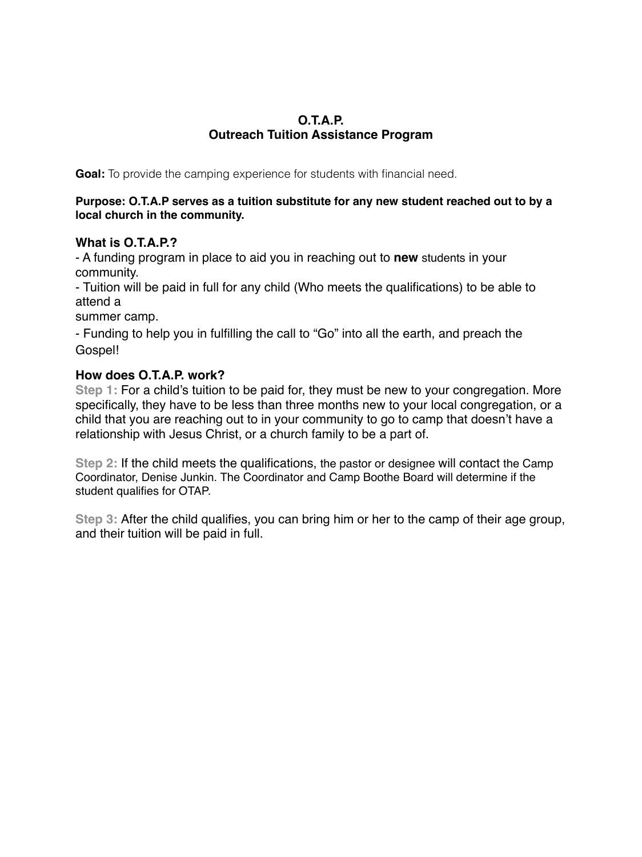#### **O.T.A.P. Outreach Tuition Assistance Program**

**Goal:** To provide the camping experience for students with financial need.

#### **Purpose: O.T.A.P serves as a tuition substitute for any new student reached out to by a local church in the community.**

#### **What is O.T.A.P.?**

- A funding program in place to aid you in reaching out to **new** students in your community.

- Tuition will be paid in full for any child (Who meets the qualifications) to be able to attend a

summer camp.

- Funding to help you in fulfilling the call to "Go" into all the earth, and preach the Gospel!

#### **How does O.T.A.P. work?**

**Step 1:** For a child's tuition to be paid for, they must be new to your congregation. More specifically, they have to be less than three months new to your local congregation, or a child that you are reaching out to in your community to go to camp that doesn't have a relationship with Jesus Christ, or a church family to be a part of.

**Step 2:** If the child meets the qualifications, the pastor or designee will contact the Camp Coordinator, Denise Junkin. The Coordinator and Camp Boothe Board will determine if the student qualifies for OTAP.

**Step 3:** After the child qualifies, you can bring him or her to the camp of their age group, and their tuition will be paid in full.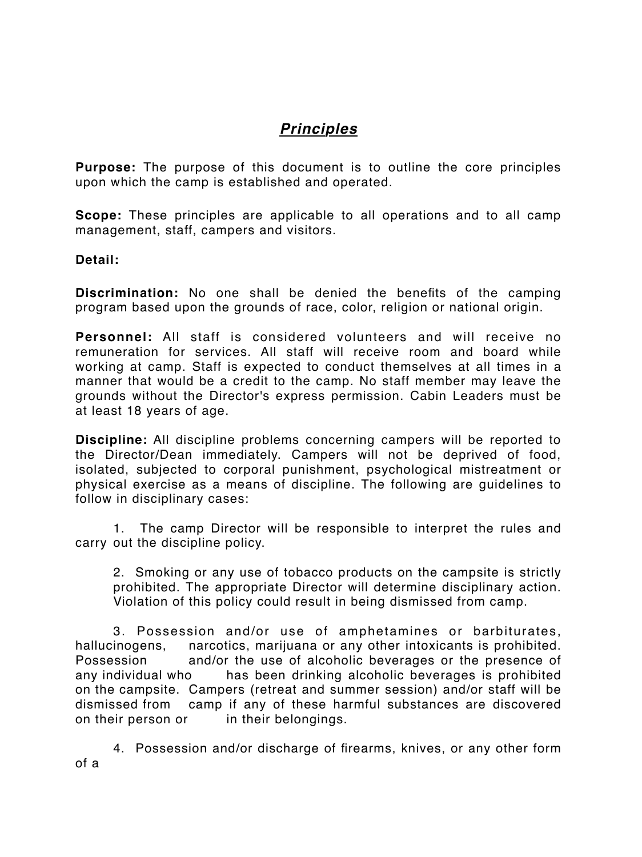# *Principles*

**Purpose:** The purpose of this document is to outline the core principles upon which the camp is established and operated.

**Scope:** These principles are applicable to all operations and to all camp management, staff, campers and visitors.

#### **Detail:**

**Discrimination:** No one shall be denied the benefits of the camping program based upon the grounds of race, color, religion or national origin.

**Personnel:** All staff is considered volunteers and will receive no remuneration for services. All staff will receive room and board while working at camp. Staff is expected to conduct themselves at all times in a manner that would be a credit to the camp. No staff member may leave the grounds without the Director's express permission. Cabin Leaders must be at least 18 years of age.

**Discipline:** All discipline problems concerning campers will be reported to the Director/Dean immediately. Campers will not be deprived of food, isolated, subjected to corporal punishment, psychological mistreatment or physical exercise as a means of discipline. The following are guidelines to follow in disciplinary cases:

1. The camp Director will be responsible to interpret the rules and carry out the discipline policy.

2. Smoking or any use of tobacco products on the campsite is strictly prohibited. The appropriate Director will determine disciplinary action. Violation of this policy could result in being dismissed from camp.

3. Possession and/or use of amphetamines or barbiturates, hallucinogens, narcotics, marijuana or any other intoxicants is prohibited. Possession and/or the use of alcoholic beverages or the presence of any individual who has been drinking alcoholic beverages is prohibited on the campsite. Campers (retreat and summer session) and/or staff will be dismissed from camp if any of these harmful substances are discovered on their person or in their belongings.

4. Possession and/or discharge of firearms, knives, or any other form of a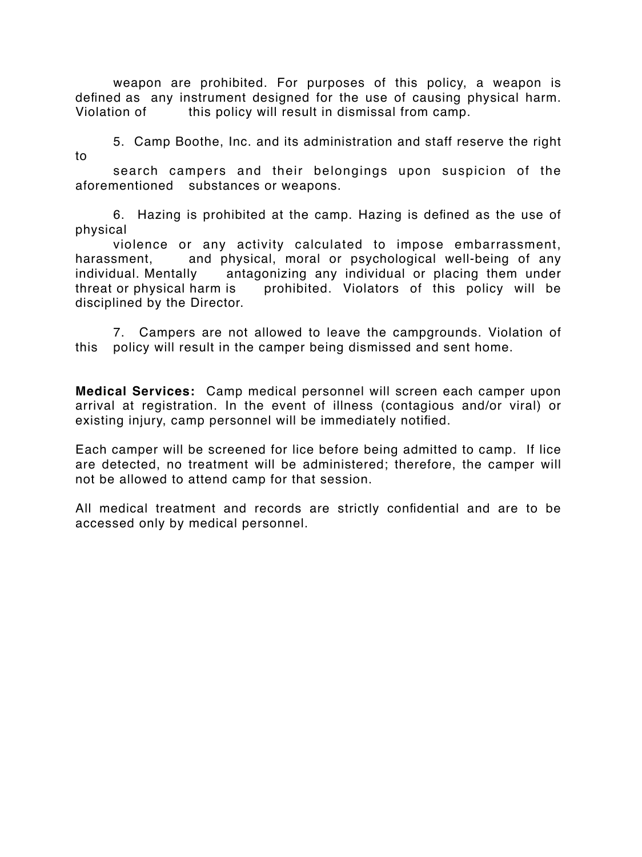weapon are prohibited. For purposes of this policy, a weapon is defined as any instrument designed for the use of causing physical harm. Violation of this policy will result in dismissal from camp.

5. Camp Boothe, Inc. and its administration and staff reserve the right to

search campers and their belongings upon suspicion of the aforementioned substances or weapons.

6. Hazing is prohibited at the camp. Hazing is defined as the use of physical

violence or any activity calculated to impose embarrassment, harassment, and physical, moral or psychological well-being of any individual. Mentally antagonizing any individual or placing them under threat or physical harm is prohibited. Violators of this policy will be disciplined by the Director.

7. Campers are not allowed to leave the campgrounds. Violation of this policy will result in the camper being dismissed and sent home.

**Medical Services:** Camp medical personnel will screen each camper upon arrival at registration. In the event of illness (contagious and/or viral) or existing injury, camp personnel will be immediately notified.

Each camper will be screened for lice before being admitted to camp. If lice are detected, no treatment will be administered; therefore, the camper will not be allowed to attend camp for that session.

All medical treatment and records are strictly confidential and are to be accessed only by medical personnel.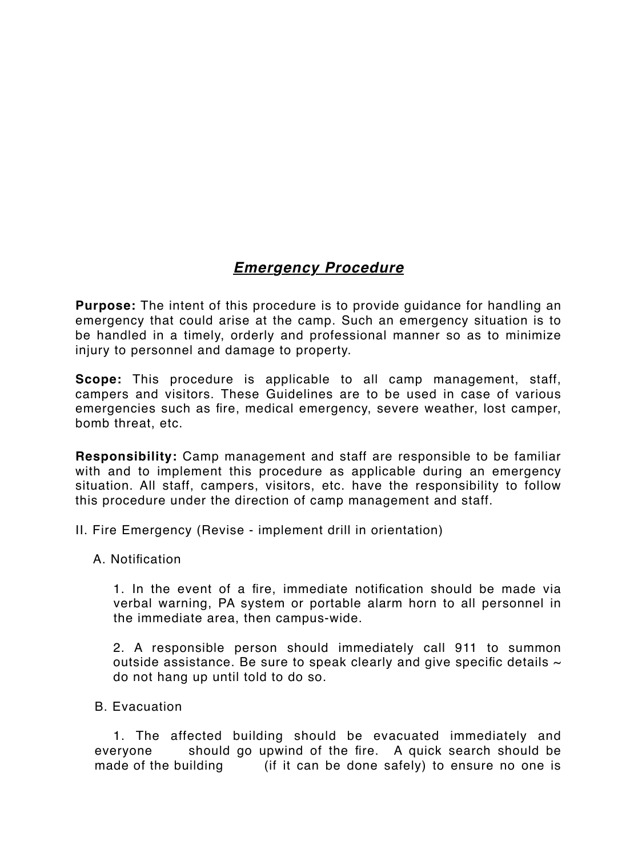# *Emergency Procedure*

**Purpose:** The intent of this procedure is to provide guidance for handling an emergency that could arise at the camp. Such an emergency situation is to be handled in a timely, orderly and professional manner so as to minimize injury to personnel and damage to property.

**Scope:** This procedure is applicable to all camp management, staff, campers and visitors. These Guidelines are to be used in case of various emergencies such as fire, medical emergency, severe weather, lost camper, bomb threat, etc.

**Responsibility:** Camp management and staff are responsible to be familiar with and to implement this procedure as applicable during an emergency situation. All staff, campers, visitors, etc. have the responsibility to follow this procedure under the direction of camp management and staff.

II. Fire Emergency (Revise - implement drill in orientation)

A. Notification

1. In the event of a fire, immediate notification should be made via verbal warning, PA system or portable alarm horn to all personnel in the immediate area, then campus-wide.

2. A responsible person should immediately call 911 to summon outside assistance. Be sure to speak clearly and give specific details  $\sim$ do not hang up until told to do so.

B. Evacuation

1. The affected building should be evacuated immediately and everyone should go upwind of the fire. A quick search should be made of the building (if it can be done safely) to ensure no one is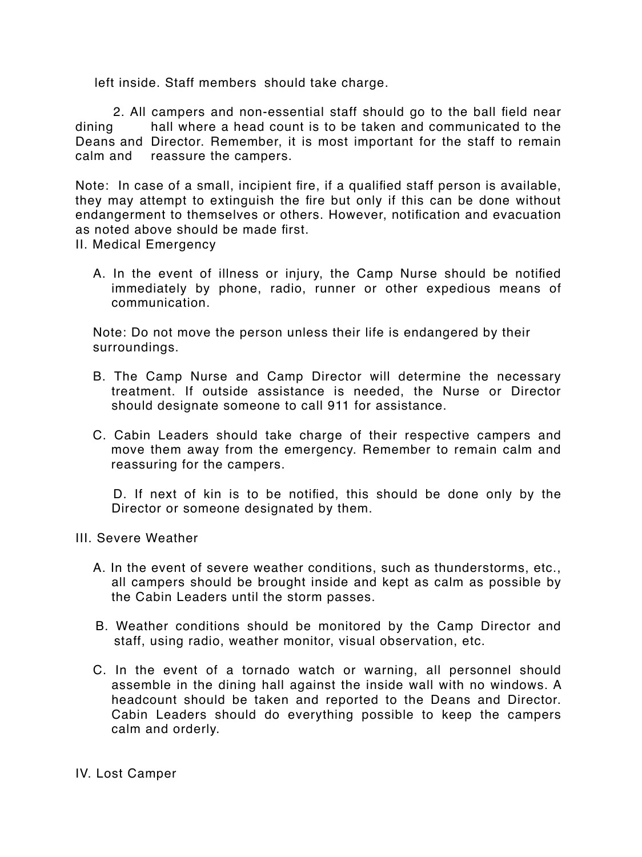left inside. Staff members should take charge.

2. All campers and non-essential staff should go to the ball field near dining hall where a head count is to be taken and communicated to the Deans and Director. Remember, it is most important for the staff to remain calm and reassure the campers.

Note: In case of a small, incipient fire, if a qualified staff person is available, they may attempt to extinguish the fire but only if this can be done without endangerment to themselves or others. However, notification and evacuation as noted above should be made first.

II. Medical Emergency

A. In the event of illness or injury, the Camp Nurse should be notified immediately by phone, radio, runner or other expedious means of communication.

Note: Do not move the person unless their life is endangered by their surroundings.

- B. The Camp Nurse and Camp Director will determine the necessary treatment. If outside assistance is needed, the Nurse or Director should designate someone to call 911 for assistance.
- C. Cabin Leaders should take charge of their respective campers and move them away from the emergency. Remember to remain calm and reassuring for the campers.

D. If next of kin is to be notified, this should be done only by the Director or someone designated by them.

- III. Severe Weather
	- A. In the event of severe weather conditions, such as thunderstorms, etc., all campers should be brought inside and kept as calm as possible by the Cabin Leaders until the storm passes.
	- B. Weather conditions should be monitored by the Camp Director and staff, using radio, weather monitor, visual observation, etc.
	- C. In the event of a tornado watch or warning, all personnel should assemble in the dining hall against the inside wall with no windows. A headcount should be taken and reported to the Deans and Director. Cabin Leaders should do everything possible to keep the campers calm and orderly.

IV. Lost Camper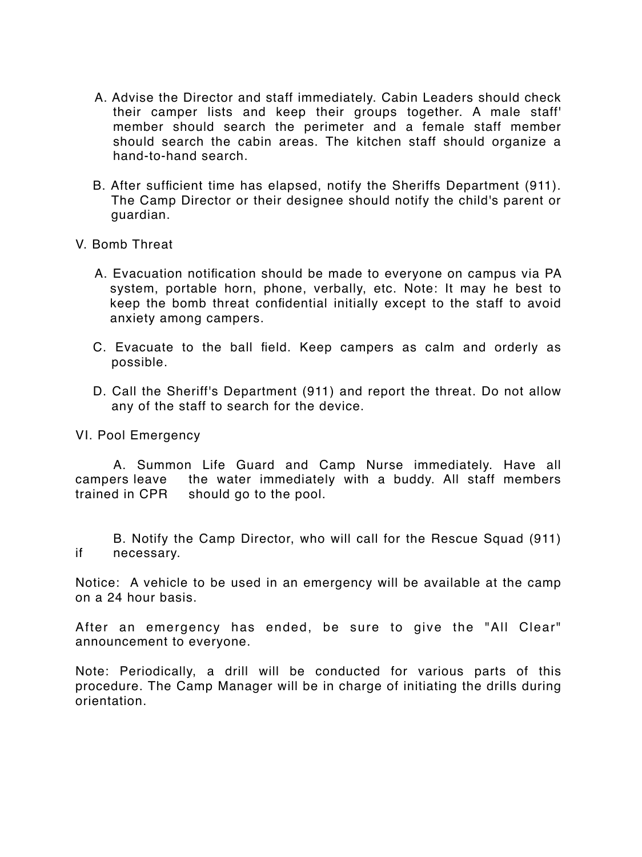- A. Advise the Director and staff immediately. Cabin Leaders should check their camper lists and keep their groups together. A male staff' member should search the perimeter and a female staff member should search the cabin areas. The kitchen staff should organize a hand-to-hand search.
- B. After sufficient time has elapsed, notify the Sheriffs Department (911). The Camp Director or their designee should notify the child's parent or guardian.
- V. Bomb Threat
	- A. Evacuation notification should be made to everyone on campus via PA system, portable horn, phone, verbally, etc. Note: It may he best to keep the bomb threat confidential initially except to the staff to avoid anxiety among campers.
	- C. Evacuate to the ball field. Keep campers as calm and orderly as possible.
	- D. Call the Sheriff's Department (911) and report the threat. Do not allow any of the staff to search for the device.

VI. Pool Emergency

A. Summon Life Guard and Camp Nurse immediately. Have all campers leave the water immediately with a buddy. All staff members trained in CPR should go to the pool.

B. Notify the Camp Director, who will call for the Rescue Squad (911) if necessary.

Notice: A vehicle to be used in an emergency will be available at the camp on a 24 hour basis.

After an emergency has ended, be sure to give the "All Clear" announcement to everyone.

Note: Periodically, a drill will be conducted for various parts of this procedure. The Camp Manager will be in charge of initiating the drills during orientation.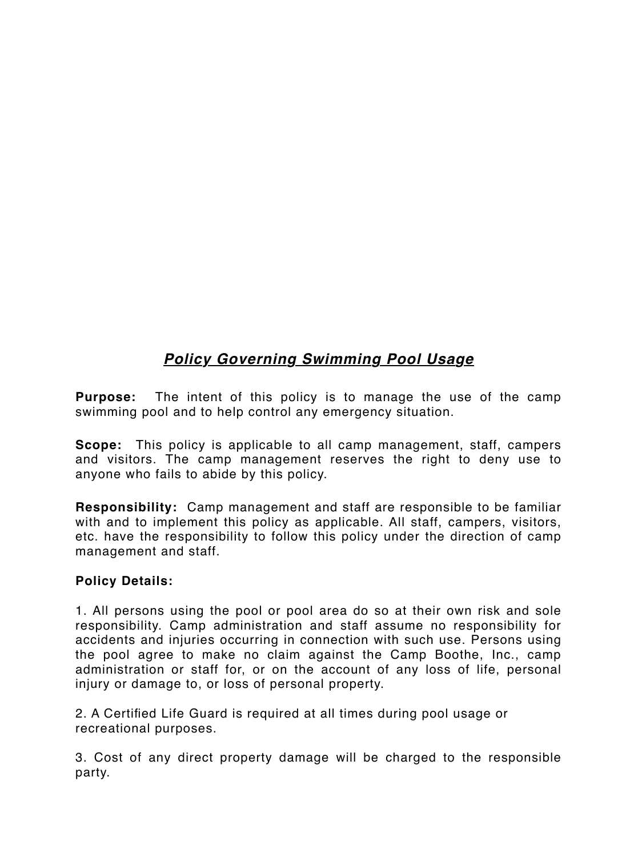# *Policy Governing Swimming Pool Usage*

**Purpose:** The intent of this policy is to manage the use of the camp swimming pool and to help control any emergency situation.

**Scope:** This policy is applicable to all camp management, staff, campers and visitors. The camp management reserves the right to deny use to anyone who fails to abide by this policy.

**Responsibility:** Camp management and staff are responsible to be familiar with and to implement this policy as applicable. All staff, campers, visitors, etc. have the responsibility to follow this policy under the direction of camp management and staff.

#### **Policy Details:**

1. All persons using the pool or pool area do so at their own risk and sole responsibility. Camp administration and staff assume no responsibility for accidents and injuries occurring in connection with such use. Persons using the pool agree to make no claim against the Camp Boothe, Inc., camp administration or staff for, or on the account of any loss of life, personal injury or damage to, or loss of personal property.

2. A Certified Life Guard is required at all times during pool usage or recreational purposes.

3. Cost of any direct property damage will be charged to the responsible party.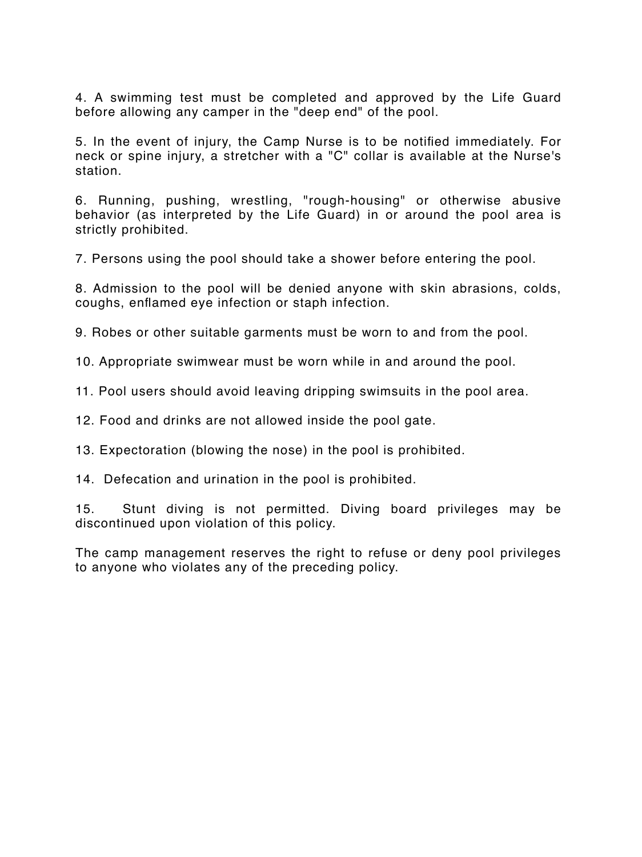4. A swimming test must be completed and approved by the Life Guard before allowing any camper in the "deep end" of the pool.

5. In the event of injury, the Camp Nurse is to be notified immediately. For neck or spine injury, a stretcher with a "C" collar is available at the Nurse's station.

6. Running, pushing, wrestling, "rough-housing" or otherwise abusive behavior (as interpreted by the Life Guard) in or around the pool area is strictly prohibited.

7. Persons using the pool should take a shower before entering the pool.

8. Admission to the pool will be denied anyone with skin abrasions, colds, coughs, enflamed eye infection or staph infection.

9. Robes or other suitable garments must be worn to and from the pool.

10. Appropriate swimwear must be worn while in and around the pool.

11. Pool users should avoid leaving dripping swimsuits in the pool area.

12. Food and drinks are not allowed inside the pool gate.

13. Expectoration (blowing the nose) in the pool is prohibited.

14. Defecation and urination in the pool is prohibited.

15. Stunt diving is not permitted. Diving board privileges may be discontinued upon violation of this policy.

The camp management reserves the right to refuse or deny pool privileges to anyone who violates any of the preceding policy.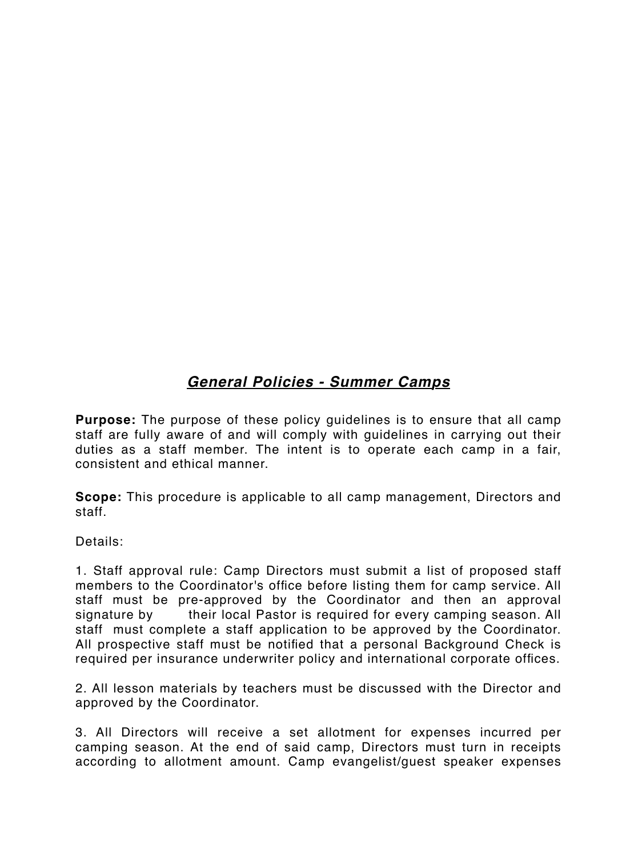# *General Policies - Summer Camps*

**Purpose:** The purpose of these policy guidelines is to ensure that all camp staff are fully aware of and will comply with guidelines in carrying out their duties as a staff member. The intent is to operate each camp in a fair, consistent and ethical manner.

**Scope:** This procedure is applicable to all camp management, Directors and staff.

Details:

1. Staff approval rule: Camp Directors must submit a list of proposed staff members to the Coordinator's office before listing them for camp service. All staff must be pre-approved by the Coordinator and then an approval signature by their local Pastor is required for every camping season. All staff must complete a staff application to be approved by the Coordinator. All prospective staff must be notified that a personal Background Check is required per insurance underwriter policy and international corporate offices.

2. All lesson materials by teachers must be discussed with the Director and approved by the Coordinator.

3. All Directors will receive a set allotment for expenses incurred per camping season. At the end of said camp, Directors must turn in receipts according to allotment amount. Camp evangelist/guest speaker expenses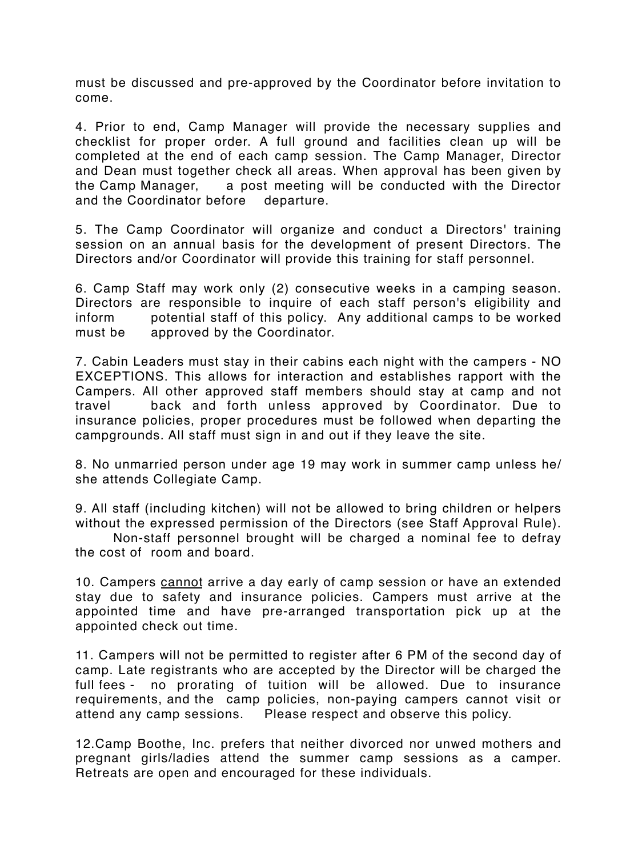must be discussed and pre-approved by the Coordinator before invitation to come.

4. Prior to end, Camp Manager will provide the necessary supplies and checklist for proper order. A full ground and facilities clean up will be completed at the end of each camp session. The Camp Manager, Director and Dean must together check all areas. When approval has been given by the Camp Manager, a post meeting will be conducted with the Director and the Coordinator before departure.

5. The Camp Coordinator will organize and conduct a Directors' training session on an annual basis for the development of present Directors. The Directors and/or Coordinator will provide this training for staff personnel.

6. Camp Staff may work only (2) consecutive weeks in a camping season. Directors are responsible to inquire of each staff person's eligibility and inform potential staff of this policy. Any additional camps to be worked must be approved by the Coordinator.

7. Cabin Leaders must stay in their cabins each night with the campers - NO EXCEPTIONS. This allows for interaction and establishes rapport with the Campers. All other approved staff members should stay at camp and not travel back and forth unless approved by Coordinator. Due to insurance policies, proper procedures must be followed when departing the campgrounds. All staff must sign in and out if they leave the site.

8. No unmarried person under age 19 may work in summer camp unless he/ she attends Collegiate Camp.

9. All staff (including kitchen) will not be allowed to bring children or helpers without the expressed permission of the Directors (see Staff Approval Rule).

Non-staff personnel brought will be charged a nominal fee to defray the cost of room and board.

10. Campers cannot arrive a day early of camp session or have an extended stay due to safety and insurance policies. Campers must arrive at the appointed time and have pre-arranged transportation pick up at the appointed check out time.

11. Campers will not be permitted to register after 6 PM of the second day of camp. Late registrants who are accepted by the Director will be charged the full fees - no prorating of tuition will be allowed. Due to insurance requirements, and the camp policies, non-paying campers cannot visit or attend any camp sessions. Please respect and observe this policy.

12.Camp Boothe, Inc. prefers that neither divorced nor unwed mothers and pregnant girls/ladies attend the summer camp sessions as a camper. Retreats are open and encouraged for these individuals.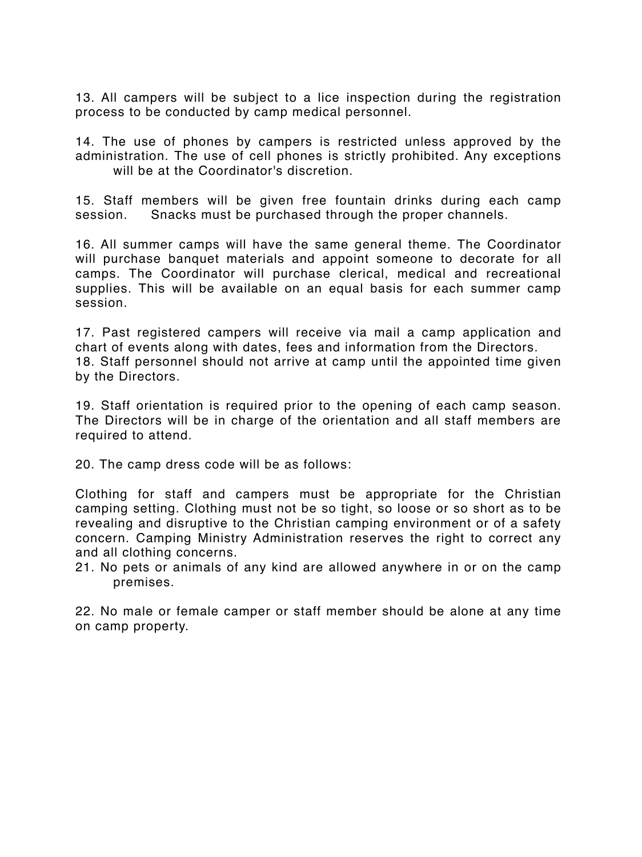13. All campers will be subject to a lice inspection during the registration process to be conducted by camp medical personnel.

14. The use of phones by campers is restricted unless approved by the administration. The use of cell phones is strictly prohibited. Any exceptions will be at the Coordinator's discretion.

15. Staff members will be given free fountain drinks during each camp session. Snacks must be purchased through the proper channels.

16. All summer camps will have the same general theme. The Coordinator will purchase banquet materials and appoint someone to decorate for all camps. The Coordinator will purchase clerical, medical and recreational supplies. This will be available on an equal basis for each summer camp session.

17. Past registered campers will receive via mail a camp application and chart of events along with dates, fees and information from the Directors. 18. Staff personnel should not arrive at camp until the appointed time given by the Directors.

19. Staff orientation is required prior to the opening of each camp season. The Directors will be in charge of the orientation and all staff members are required to attend.

20. The camp dress code will be as follows:

Clothing for staff and campers must be appropriate for the Christian camping setting. Clothing must not be so tight, so loose or so short as to be revealing and disruptive to the Christian camping environment or of a safety concern. Camping Ministry Administration reserves the right to correct any and all clothing concerns.

21. No pets or animals of any kind are allowed anywhere in or on the camp premises.

22. No male or female camper or staff member should be alone at any time on camp property.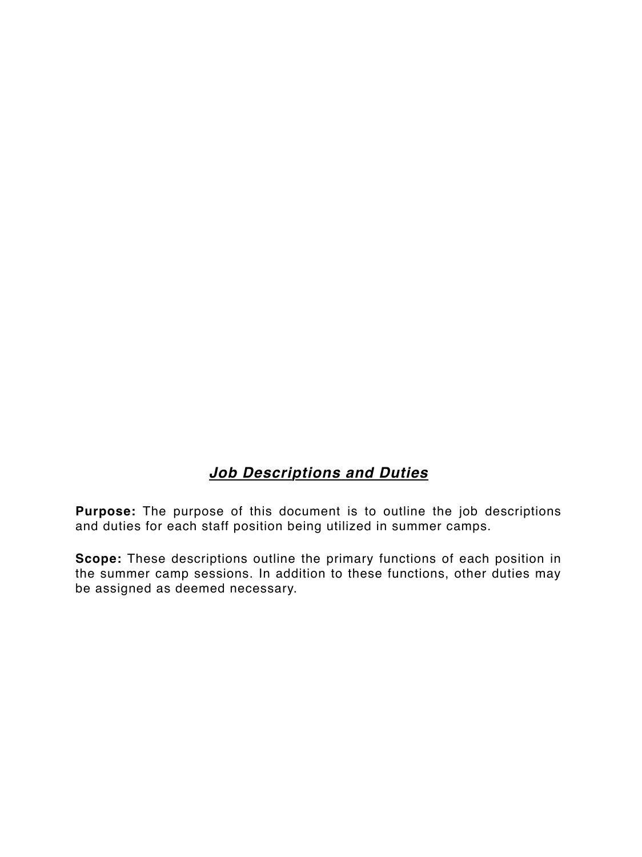# *Job Descriptions and Duties*

**Purpose:** The purpose of this document is to outline the job descriptions and duties for each staff position being utilized in summer camps.

**Scope:** These descriptions outline the primary functions of each position in the summer camp sessions. In addition to these functions, other duties may be assigned as deemed necessary.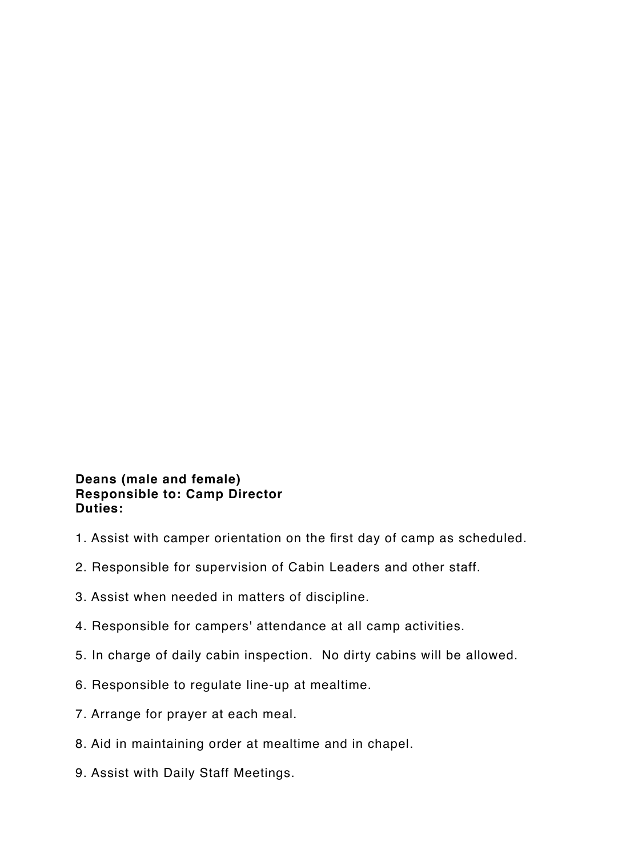#### **Deans (male and female) Responsible to: Camp Director Duties:**

- 1. Assist with camper orientation on the first day of camp as scheduled.
- 2. Responsible for supervision of Cabin Leaders and other staff.
- 3. Assist when needed in matters of discipline.
- 4. Responsible for campers' attendance at all camp activities.
- 5. In charge of daily cabin inspection. No dirty cabins will be allowed.
- 6. Responsible to regulate line-up at mealtime.
- 7. Arrange for prayer at each meal.
- 8. Aid in maintaining order at mealtime and in chapel.
- 9. Assist with Daily Staff Meetings.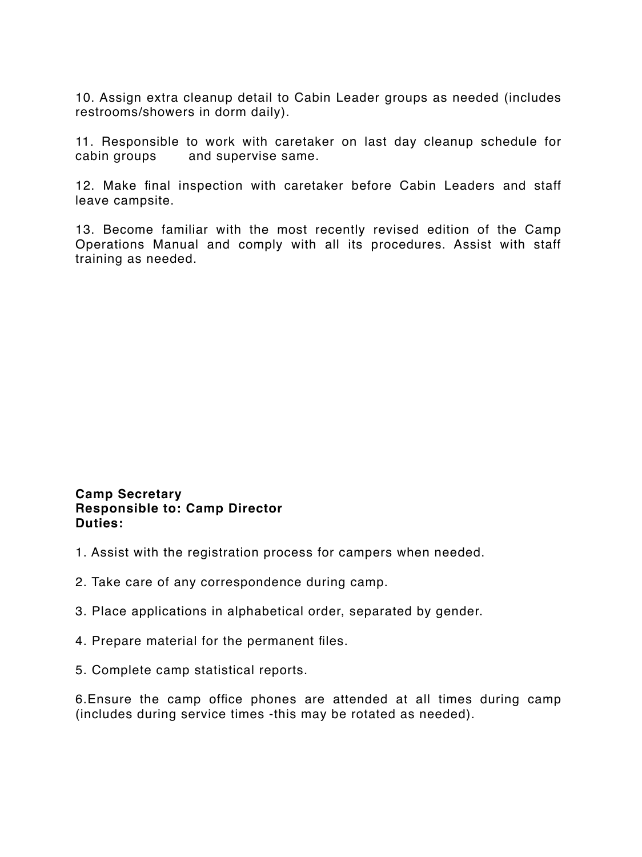10. Assign extra cleanup detail to Cabin Leader groups as needed (includes restrooms/showers in dorm daily).

11. Responsible to work with caretaker on last day cleanup schedule for cabin groups and supervise same.

12. Make final inspection with caretaker before Cabin Leaders and staff leave campsite.

13. Become familiar with the most recently revised edition of the Camp Operations Manual and comply with all its procedures. Assist with staff training as needed.

#### **Camp Secretary Responsible to: Camp Director Duties:**

- 1. Assist with the registration process for campers when needed.
- 2. Take care of any correspondence during camp.
- 3. Place applications in alphabetical order, separated by gender.
- 4. Prepare material for the permanent files.
- 5. Complete camp statistical reports.

6.Ensure the camp office phones are attended at all times during camp (includes during service times -this may be rotated as needed).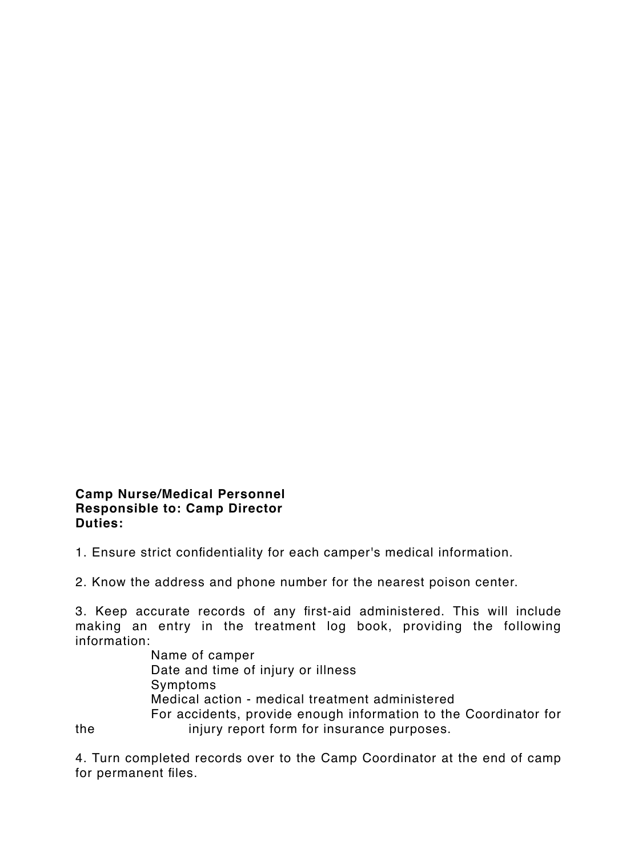#### **Camp Nurse/Medical Personnel Responsible to: Camp Director Duties:**

1. Ensure strict confidentiality for each camper's medical information.

2. Know the address and phone number for the nearest poison center.

3. Keep accurate records of any first-aid administered. This will include making an entry in the treatment log book, providing the following information:

Name of camper Date and time of injury or illness Symptoms Medical action - medical treatment administered For accidents, provide enough information to the Coordinator for the injury report form for insurance purposes.

4. Turn completed records over to the Camp Coordinator at the end of camp for permanent files.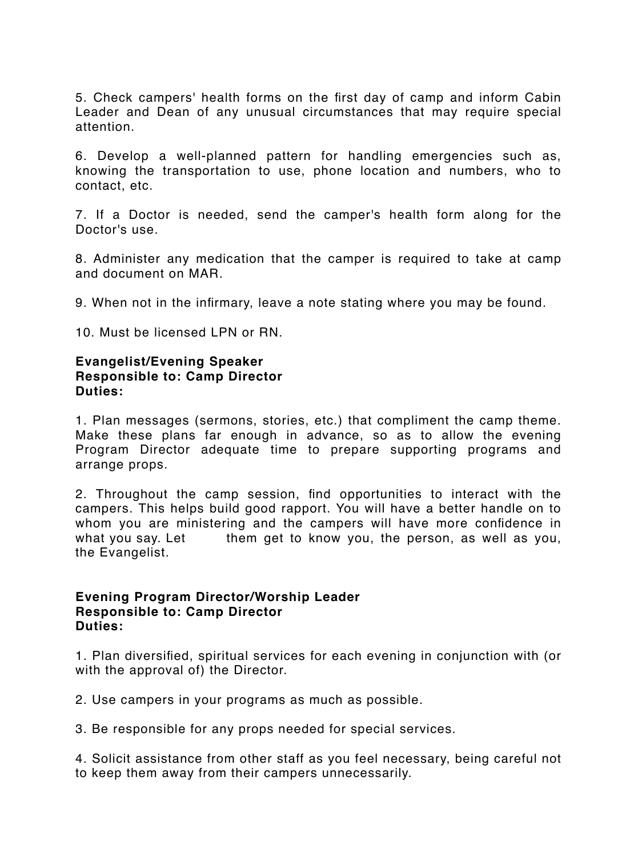5. Check campers' health forms on the first day of camp and inform Cabin Leader and Dean of any unusual circumstances that may require special attention.

6. Develop a well-planned pattern for handling emergencies such as, knowing the transportation to use, phone location and numbers, who to contact, etc.

7. If a Doctor is needed, send the camper's health form along for the Doctor's use.

8. Administer any medication that the camper is required to take at camp and document on MAR.

9. When not in the infirmary, leave a note stating where you may be found.

10. Must be licensed LPN or RN.

#### **Evangelist/Evening Speaker Responsible to: Camp Director Duties:**

1. Plan messages (sermons, stories, etc.) that compliment the camp theme. Make these plans far enough in advance, so as to allow the evening Program Director adequate time to prepare supporting programs and arrange props.

2. Throughout the camp session, find opportunities to interact with the campers. This helps build good rapport. You will have a better handle on to whom you are ministering and the campers will have more confidence in what you say. Let them get to know you, the person, as well as you, the Evangelist.

#### **Evening Program Director/Worship Leader Responsible to: Camp Director Duties:**

1. Plan diversified, spiritual services for each evening in conjunction with (or with the approval of) the Director.

2. Use campers in your programs as much as possible.

3. Be responsible for any props needed for special services.

4. Solicit assistance from other staff as you feel necessary, being careful not to keep them away from their campers unnecessarily.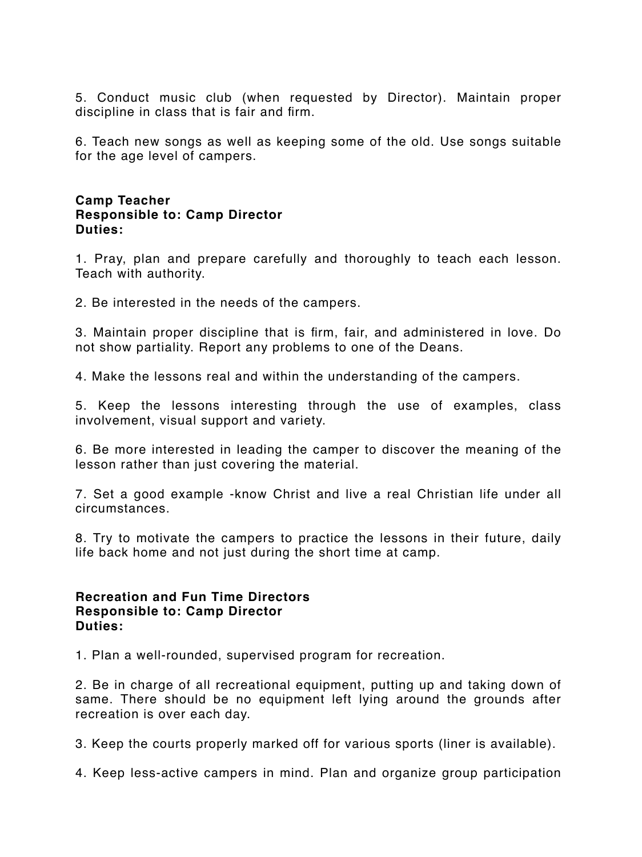5. Conduct music club (when requested by Director). Maintain proper discipline in class that is fair and firm.

6. Teach new songs as well as keeping some of the old. Use songs suitable for the age level of campers.

#### **Camp Teacher Responsible to: Camp Director Duties:**

1. Pray, plan and prepare carefully and thoroughly to teach each lesson. Teach with authority.

2. Be interested in the needs of the campers.

3. Maintain proper discipline that is firm, fair, and administered in love. Do not show partiality. Report any problems to one of the Deans.

4. Make the lessons real and within the understanding of the campers.

5. Keep the lessons interesting through the use of examples, class involvement, visual support and variety.

6. Be more interested in leading the camper to discover the meaning of the lesson rather than just covering the material.

7. Set a good example -know Christ and live a real Christian life under all circumstances.

8. Try to motivate the campers to practice the lessons in their future, daily life back home and not just during the short time at camp.

#### **Recreation and Fun Time Directors Responsible to: Camp Director Duties:**

1. Plan a well-rounded, supervised program for recreation.

2. Be in charge of all recreational equipment, putting up and taking down of same. There should be no equipment left lying around the grounds after recreation is over each day.

3. Keep the courts properly marked off for various sports (liner is available).

4. Keep less-active campers in mind. Plan and organize group participation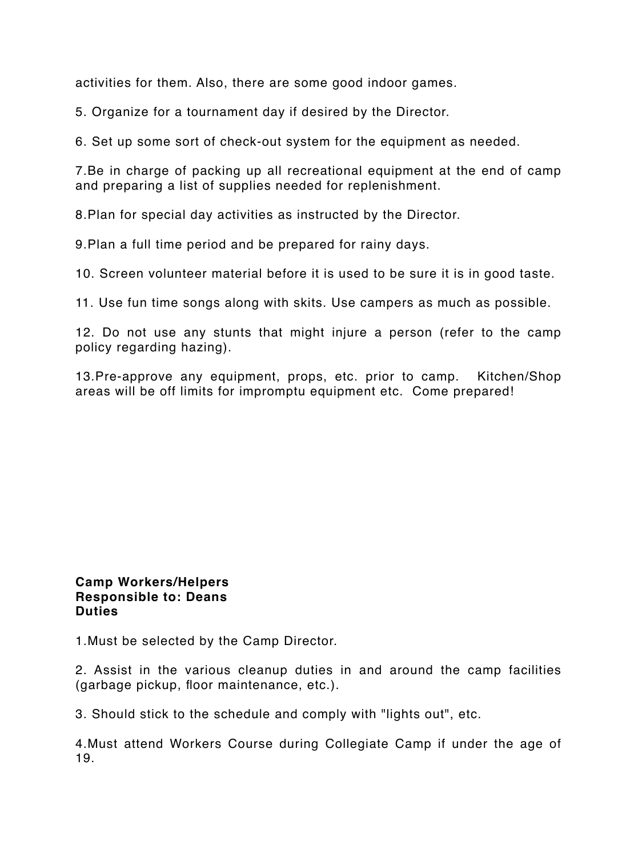activities for them. Also, there are some good indoor games.

5. Organize for a tournament day if desired by the Director.

6. Set up some sort of check-out system for the equipment as needed.

7.Be in charge of packing up all recreational equipment at the end of camp and preparing a list of supplies needed for replenishment.

8.Plan for special day activities as instructed by the Director.

9.Plan a full time period and be prepared for rainy days.

10. Screen volunteer material before it is used to be sure it is in good taste.

11. Use fun time songs along with skits. Use campers as much as possible.

12. Do not use any stunts that might injure a person (refer to the camp policy regarding hazing).

13.Pre-approve any equipment, props, etc. prior to camp. Kitchen/Shop areas will be off limits for impromptu equipment etc. Come prepared!

#### **Camp Workers/Helpers Responsible to: Deans Duties**

1.Must be selected by the Camp Director.

2. Assist in the various cleanup duties in and around the camp facilities (garbage pickup, floor maintenance, etc.).

3. Should stick to the schedule and comply with "lights out", etc.

4.Must attend Workers Course during Collegiate Camp if under the age of 19.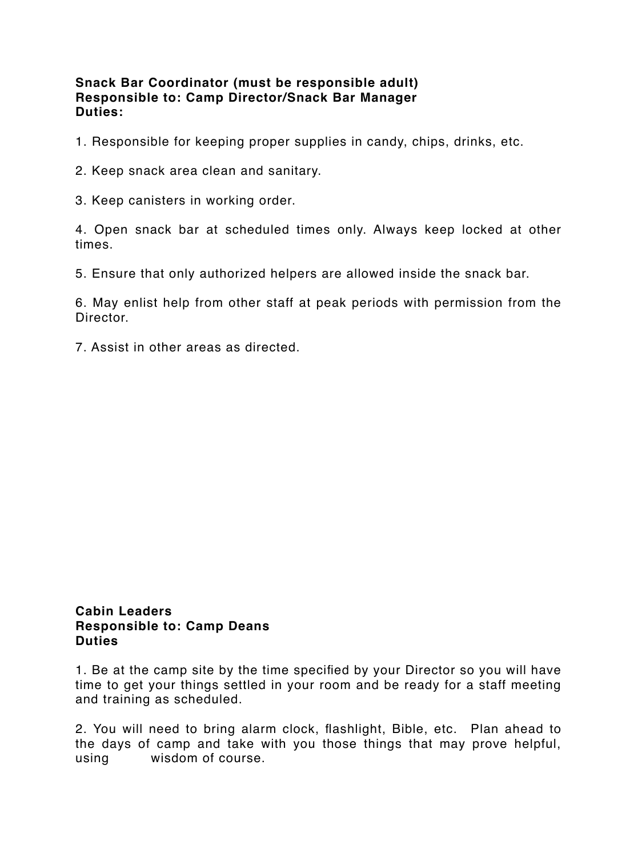#### **Snack Bar Coordinator (must be responsible adult) Responsible to: Camp Director/Snack Bar Manager Duties:**

- 1. Responsible for keeping proper supplies in candy, chips, drinks, etc.
- 2. Keep snack area clean and sanitary.
- 3. Keep canisters in working order.

4. Open snack bar at scheduled times only. Always keep locked at other times.

5. Ensure that only authorized helpers are allowed inside the snack bar.

6. May enlist help from other staff at peak periods with permission from the Director.

7. Assist in other areas as directed.

#### **Cabin Leaders Responsible to: Camp Deans Duties**

1. Be at the camp site by the time specified by your Director so you will have time to get your things settled in your room and be ready for a staff meeting and training as scheduled.

2. You will need to bring alarm clock, flashlight, Bible, etc. Plan ahead to the days of camp and take with you those things that may prove helpful, using wisdom of course.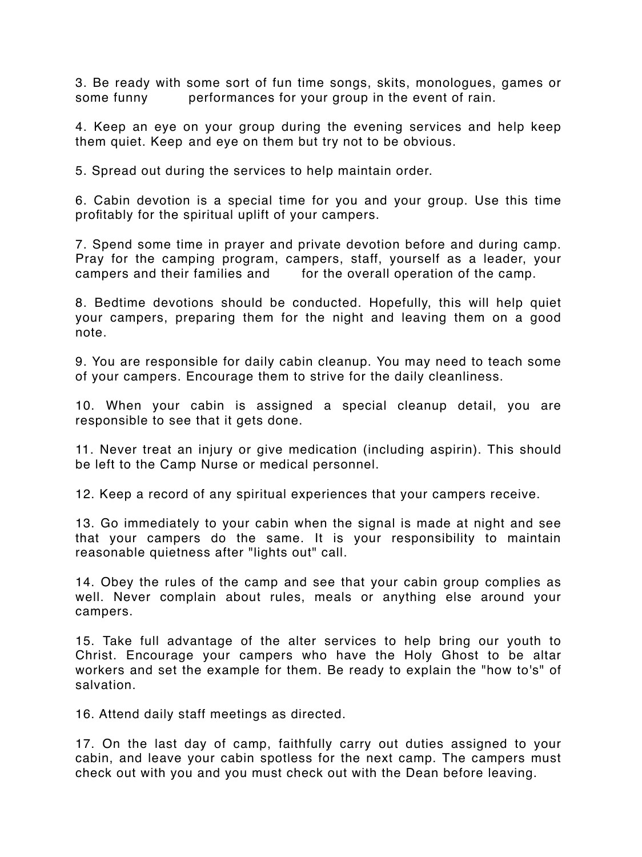3. Be ready with some sort of fun time songs, skits, monologues, games or some funny entertormances for your group in the event of rain.

4. Keep an eye on your group during the evening services and help keep them quiet. Keep and eye on them but try not to be obvious.

5. Spread out during the services to help maintain order.

6. Cabin devotion is a special time for you and your group. Use this time profitably for the spiritual uplift of your campers.

7. Spend some time in prayer and private devotion before and during camp. Pray for the camping program, campers, staff, yourself as a leader, your campers and their families and for the overall operation of the camp.

8. Bedtime devotions should be conducted. Hopefully, this will help quiet your campers, preparing them for the night and leaving them on a good note.

9. You are responsible for daily cabin cleanup. You may need to teach some of your campers. Encourage them to strive for the daily cleanliness.

10. When your cabin is assigned a special cleanup detail, you are responsible to see that it gets done.

11. Never treat an injury or give medication (including aspirin). This should be left to the Camp Nurse or medical personnel.

12. Keep a record of any spiritual experiences that your campers receive.

13. Go immediately to your cabin when the signal is made at night and see that your campers do the same. It is your responsibility to maintain reasonable quietness after "lights out" call.

14. Obey the rules of the camp and see that your cabin group complies as well. Never complain about rules, meals or anything else around your campers.

15. Take full advantage of the alter services to help bring our youth to Christ. Encourage your campers who have the Holy Ghost to be altar workers and set the example for them. Be ready to explain the "how to's" of salvation.

16. Attend daily staff meetings as directed.

17. On the last day of camp, faithfully carry out duties assigned to your cabin, and leave your cabin spotless for the next camp. The campers must check out with you and you must check out with the Dean before leaving.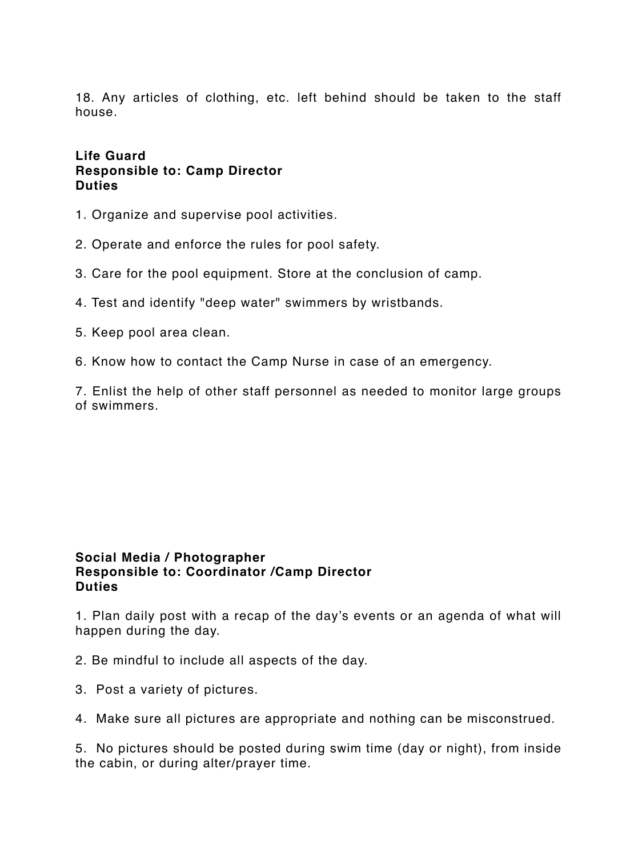18. Any articles of clothing, etc. left behind should be taken to the staff house.

#### **Life Guard Responsible to: Camp Director Duties**

- 1. Organize and supervise pool activities.
- 2. Operate and enforce the rules for pool safety.
- 3. Care for the pool equipment. Store at the conclusion of camp.
- 4. Test and identify "deep water" swimmers by wristbands.
- 5. Keep pool area clean.
- 6. Know how to contact the Camp Nurse in case of an emergency.

7. Enlist the help of other staff personnel as needed to monitor large groups of swimmers.

#### **Social Media / Photographer Responsible to: Coordinator /Camp Director Duties**

1. Plan daily post with a recap of the day's events or an agenda of what will happen during the day.

- 2. Be mindful to include all aspects of the day.
- 3. Post a variety of pictures.
- 4. Make sure all pictures are appropriate and nothing can be misconstrued.

5. No pictures should be posted during swim time (day or night), from inside the cabin, or during alter/prayer time.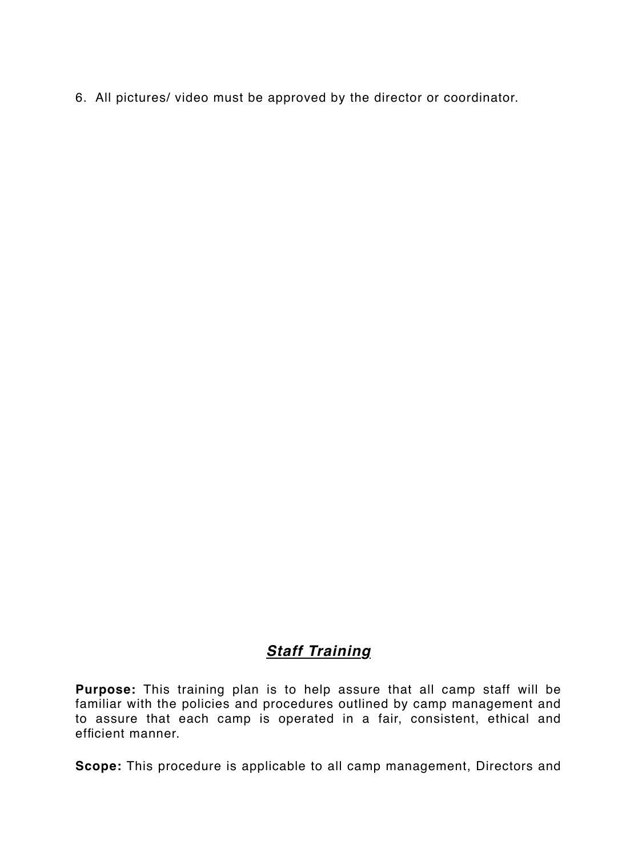6. All pictures/ video must be approved by the director or coordinator.

## *Staff Training*

**Purpose:** This training plan is to help assure that all camp staff will be familiar with the policies and procedures outlined by camp management and to assure that each camp is operated in a fair, consistent, ethical and efficient manner.

**Scope:** This procedure is applicable to all camp management, Directors and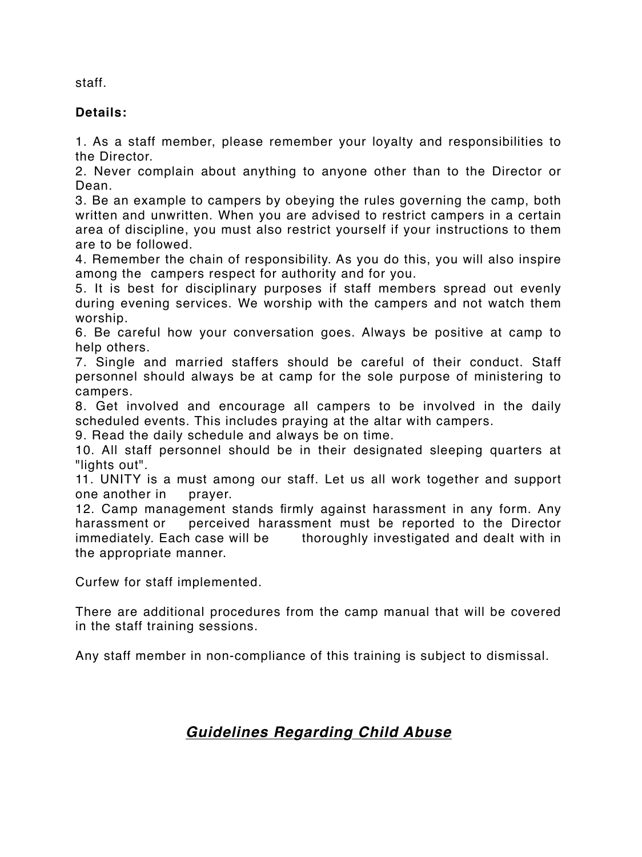staff.

#### **Details:**

1. As a staff member, please remember your loyalty and responsibilities to the Director.

2. Never complain about anything to anyone other than to the Director or Dean.

3. Be an example to campers by obeying the rules governing the camp, both written and unwritten. When you are advised to restrict campers in a certain area of discipline, you must also restrict yourself if your instructions to them are to be followed.

4. Remember the chain of responsibility. As you do this, you will also inspire among the campers respect for authority and for you.

5. It is best for disciplinary purposes if staff members spread out evenly during evening services. We worship with the campers and not watch them worship.

6. Be careful how your conversation goes. Always be positive at camp to help others.

7. Single and married staffers should be careful of their conduct. Staff personnel should always be at camp for the sole purpose of ministering to campers.

8. Get involved and encourage all campers to be involved in the daily scheduled events. This includes praying at the altar with campers.

9. Read the daily schedule and always be on time.

10. All staff personnel should be in their designated sleeping quarters at "lights out".

11. UNITY is a must among our staff. Let us all work together and support one another in prayer.

12. Camp management stands firmly against harassment in any form. Any harassment or perceived harassment must be reported to the Director immediately. Each case will be thoroughly investigated and dealt with in the appropriate manner.

Curfew for staff implemented.

There are additional procedures from the camp manual that will be covered in the staff training sessions.

Any staff member in non-compliance of this training is subject to dismissal.

# *Guidelines Regarding Child Abuse*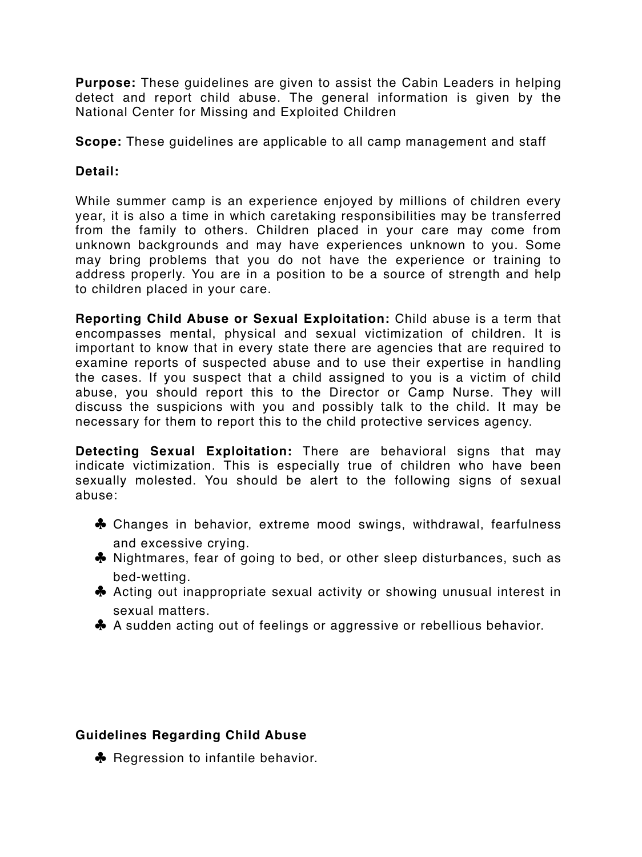**Purpose:** These guidelines are given to assist the Cabin Leaders in helping detect and report child abuse. The general information is given by the National Center for Missing and Exploited Children

**Scope:** These guidelines are applicable to all camp management and staff

#### **Detail:**

While summer camp is an experience enjoyed by millions of children every year, it is also a time in which caretaking responsibilities may be transferred from the family to others. Children placed in your care may come from unknown backgrounds and may have experiences unknown to you. Some may bring problems that you do not have the experience or training to address properly. You are in a position to be a source of strength and help to children placed in your care.

**Reporting Child Abuse or Sexual Exploitation:** Child abuse is a term that encompasses mental, physical and sexual victimization of children. It is important to know that in every state there are agencies that are required to examine reports of suspected abuse and to use their expertise in handling the cases. If you suspect that a child assigned to you is a victim of child abuse, you should report this to the Director or Camp Nurse. They will discuss the suspicions with you and possibly talk to the child. It may be necessary for them to report this to the child protective services agency.

**Detecting Sexual Exploitation:** There are behavioral signs that may indicate victimization. This is especially true of children who have been sexually molested. You should be alert to the following signs of sexual abuse:

- ♣ Changes in behavior, extreme mood swings, withdrawal, fearfulness and excessive crying.
- ♣ Nightmares, fear of going to bed, or other sleep disturbances, such as bed-wetting.
- ♣ Acting out inappropriate sexual activity or showing unusual interest in sexual matters.
- ♣ A sudden acting out of feelings or aggressive or rebellious behavior.

#### **Guidelines Regarding Child Abuse**

♣ Regression to infantile behavior.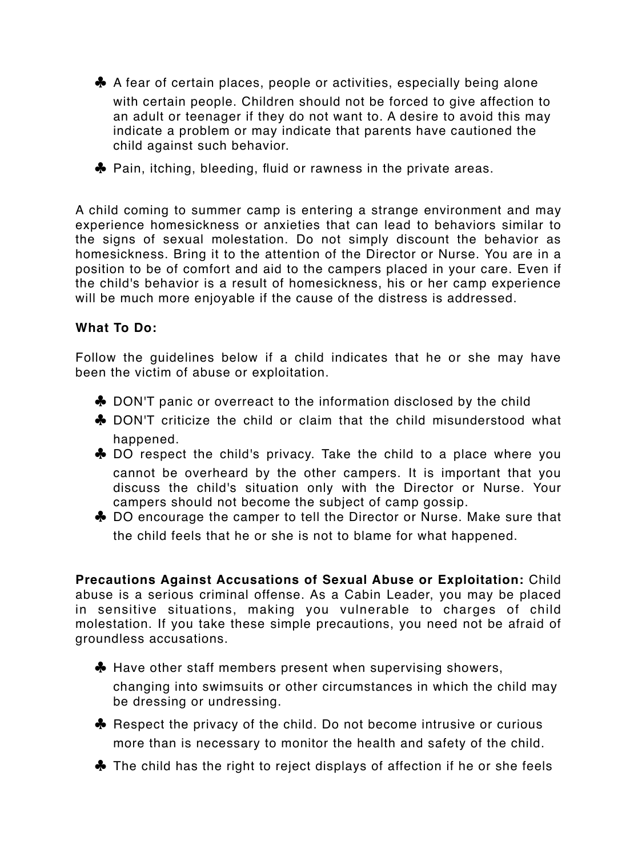- ♣ A fear of certain places, people or activities, especially being alone with certain people. Children should not be forced to give affection to an adult or teenager if they do not want to. A desire to avoid this may indicate a problem or may indicate that parents have cautioned the child against such behavior.
- ♣ Pain, itching, bleeding, fluid or rawness in the private areas.

A child coming to summer camp is entering a strange environment and may experience homesickness or anxieties that can lead to behaviors similar to the signs of sexual molestation. Do not simply discount the behavior as homesickness. Bring it to the attention of the Director or Nurse. You are in a position to be of comfort and aid to the campers placed in your care. Even if the child's behavior is a result of homesickness, his or her camp experience will be much more enjoyable if the cause of the distress is addressed.

#### **What To Do:**

Follow the guidelines below if a child indicates that he or she may have been the victim of abuse or exploitation.

- ♣ DON'T panic or overreact to the information disclosed by the child
- ♣ DON'T criticize the child or claim that the child misunderstood what happened.
- ♣ DO respect the child's privacy. Take the child to a place where you cannot be overheard by the other campers. It is important that you discuss the child's situation only with the Director or Nurse. Your campers should not become the subject of camp gossip.
- ♣ DO encourage the camper to tell the Director or Nurse. Make sure that the child feels that he or she is not to blame for what happened.

**Precautions Against Accusations of Sexual Abuse or Exploitation:** Child abuse is a serious criminal offense. As a Cabin Leader, you may be placed in sensitive situations, making you vulnerable to charges of child molestation. If you take these simple precautions, you need not be afraid of groundless accusations.

- ♣ Have other staff members present when supervising showers, changing into swimsuits or other circumstances in which the child may be dressing or undressing.
- ♣ Respect the privacy of the child. Do not become intrusive or curious more than is necessary to monitor the health and safety of the child.
- ♣ The child has the right to reject displays of affection if he or she feels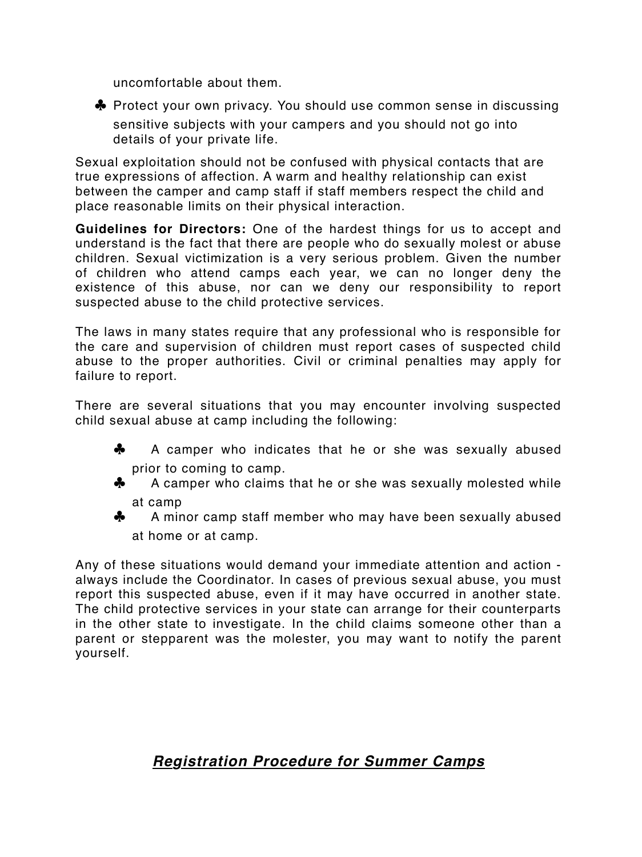uncomfortable about them.



♣ Protect your own privacy. You should use common sense in discussing sensitive subjects with your campers and you should not go into details of your private life.

Sexual exploitation should not be confused with physical contacts that are true expressions of affection. A warm and healthy relationship can exist between the camper and camp staff if staff members respect the child and place reasonable limits on their physical interaction.

**Guidelines for Directors:** One of the hardest things for us to accept and understand is the fact that there are people who do sexually molest or abuse children. Sexual victimization is a very serious problem. Given the number of children who attend camps each year, we can no longer deny the existence of this abuse, nor can we deny our responsibility to report suspected abuse to the child protective services.

The laws in many states require that any professional who is responsible for the care and supervision of children must report cases of suspected child abuse to the proper authorities. Civil or criminal penalties may apply for failure to report.

There are several situations that you may encounter involving suspected child sexual abuse at camp including the following:

- ♣ A camper who indicates that he or she was sexually abused prior to coming to camp.
- ♣ A camper who claims that he or she was sexually molested while at camp
- ♣ A minor camp staff member who may have been sexually abused at home or at camp.

Any of these situations would demand your immediate attention and action always include the Coordinator. In cases of previous sexual abuse, you must report this suspected abuse, even if it may have occurred in another state. The child protective services in your state can arrange for their counterparts in the other state to investigate. In the child claims someone other than a parent or stepparent was the molester, you may want to notify the parent yourself.

# *Registration Procedure for Summer Camps*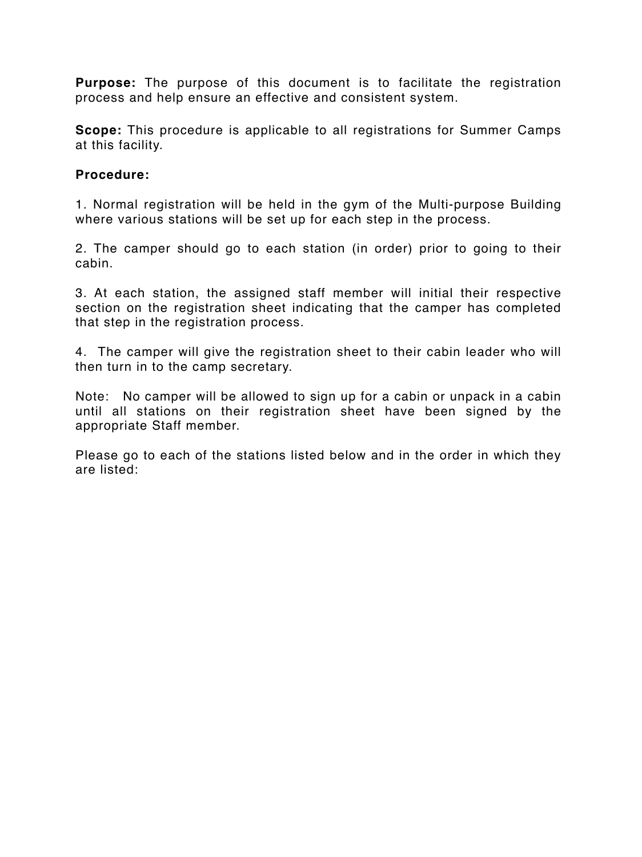**Purpose:** The purpose of this document is to facilitate the registration process and help ensure an effective and consistent system.

**Scope:** This procedure is applicable to all registrations for Summer Camps at this facility.

#### **Procedure:**

1. Normal registration will be held in the gym of the Multi-purpose Building where various stations will be set up for each step in the process.

2. The camper should go to each station (in order) prior to going to their cabin.

3. At each station, the assigned staff member will initial their respective section on the registration sheet indicating that the camper has completed that step in the registration process.

4. The camper will give the registration sheet to their cabin leader who will then turn in to the camp secretary.

Note: No camper will be allowed to sign up for a cabin or unpack in a cabin until all stations on their registration sheet have been signed by the appropriate Staff member.

Please go to each of the stations listed below and in the order in which they are listed: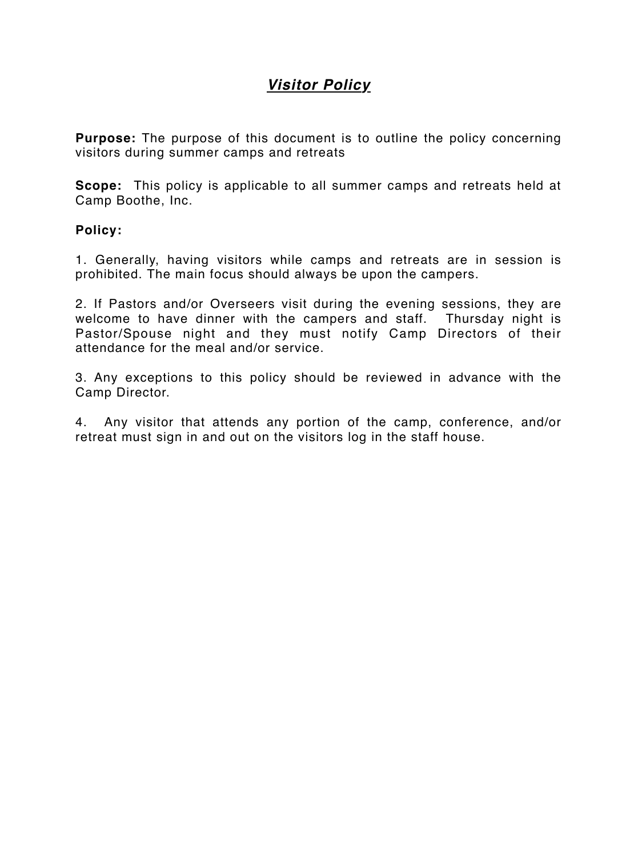# *Visitor Policy*

**Purpose:** The purpose of this document is to outline the policy concerning visitors during summer camps and retreats

**Scope:** This policy is applicable to all summer camps and retreats held at Camp Boothe, Inc.

**Policy:**

1. Generally, having visitors while camps and retreats are in session is prohibited. The main focus should always be upon the campers.

2. If Pastors and/or Overseers visit during the evening sessions, they are welcome to have dinner with the campers and staff. Thursday night is Pastor/Spouse night and they must notify Camp Directors of their attendance for the meal and/or service.

3. Any exceptions to this policy should be reviewed in advance with the Camp Director.

4. Any visitor that attends any portion of the camp, conference, and/or retreat must sign in and out on the visitors log in the staff house.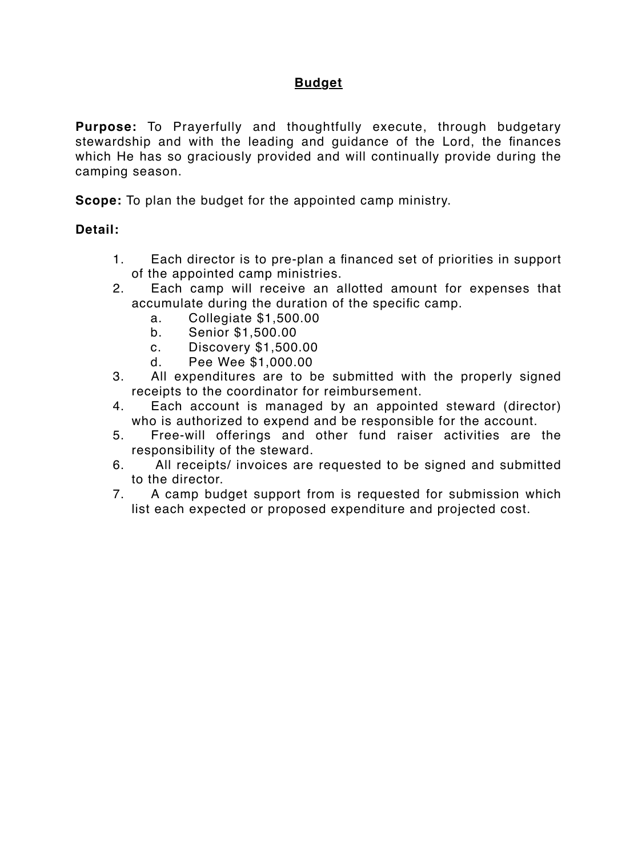#### **Budget**

**Purpose:** To Prayerfully and thoughtfully execute, through budgetary stewardship and with the leading and guidance of the Lord, the finances which He has so graciously provided and will continually provide during the camping season.

**Scope:** To plan the budget for the appointed camp ministry.

#### **Detail:**

- 1. Each director is to pre-plan a financed set of priorities in support of the appointed camp ministries.
- 2. Each camp will receive an allotted amount for expenses that accumulate during the duration of the specific camp.
	- a. Collegiate \$1,500.00
	- b. Senior \$1,500.00
	- c. Discovery \$1,500.00
	- d. Pee Wee \$1,000.00
- 3. All expenditures are to be submitted with the properly signed receipts to the coordinator for reimbursement.
- 4. Each account is managed by an appointed steward (director) who is authorized to expend and be responsible for the account.
- 5. Free-will offerings and other fund raiser activities are the responsibility of the steward.
- 6. All receipts/ invoices are requested to be signed and submitted to the director.
- 7. A camp budget support from is requested for submission which list each expected or proposed expenditure and projected cost.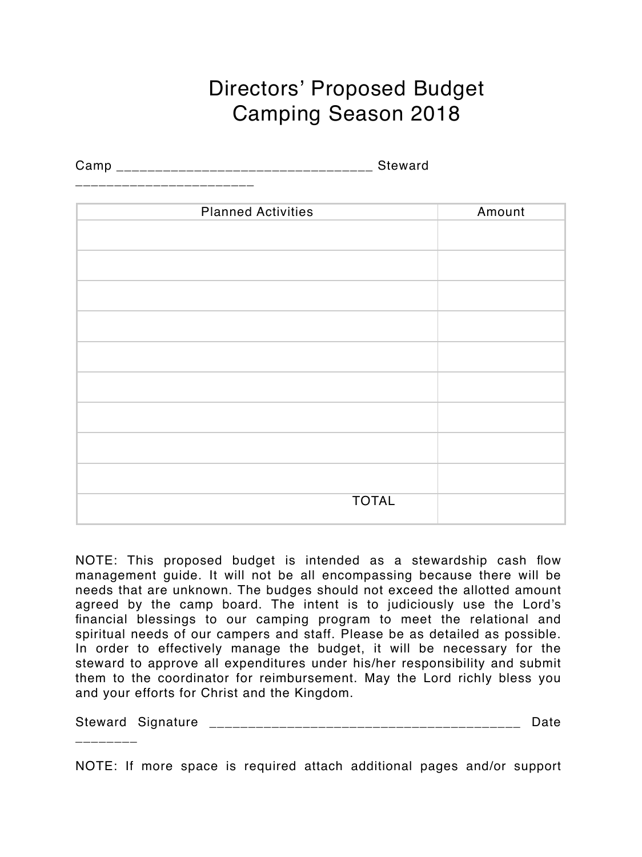# Directors' Proposed Budget Camping Season 2018

Camp \_\_\_\_\_\_\_\_\_\_\_\_\_\_\_\_\_\_\_\_\_\_\_\_\_\_\_\_\_\_\_\_\_ Steward

\_\_\_\_\_\_\_\_\_\_\_\_\_\_\_\_\_\_\_\_\_\_\_

\_\_\_\_\_\_\_\_

| <b>Planned Activities</b> | Amount |
|---------------------------|--------|
|                           |        |
|                           |        |
|                           |        |
|                           |        |
|                           |        |
|                           |        |
|                           |        |
|                           |        |
|                           |        |
|                           |        |
|                           |        |
|                           |        |
|                           |        |
|                           |        |
|                           |        |
| <b>TOTAL</b>              |        |
|                           |        |

NOTE: This proposed budget is intended as a stewardship cash flow management guide. It will not be all encompassing because there will be needs that are unknown. The budges should not exceed the allotted amount agreed by the camp board. The intent is to judiciously use the Lord's financial blessings to our camping program to meet the relational and spiritual needs of our campers and staff. Please be as detailed as possible. In order to effectively manage the budget, it will be necessary for the steward to approve all expenditures under his/her responsibility and submit them to the coordinator for reimbursement. May the Lord richly bless you and your efforts for Christ and the Kingdom.

Steward Signature \_\_\_\_\_\_\_\_\_\_\_\_\_\_\_\_\_\_\_\_\_\_\_\_\_\_\_\_\_\_\_\_\_\_\_\_\_\_\_\_ Date

NOTE: If more space is required attach additional pages and/or support